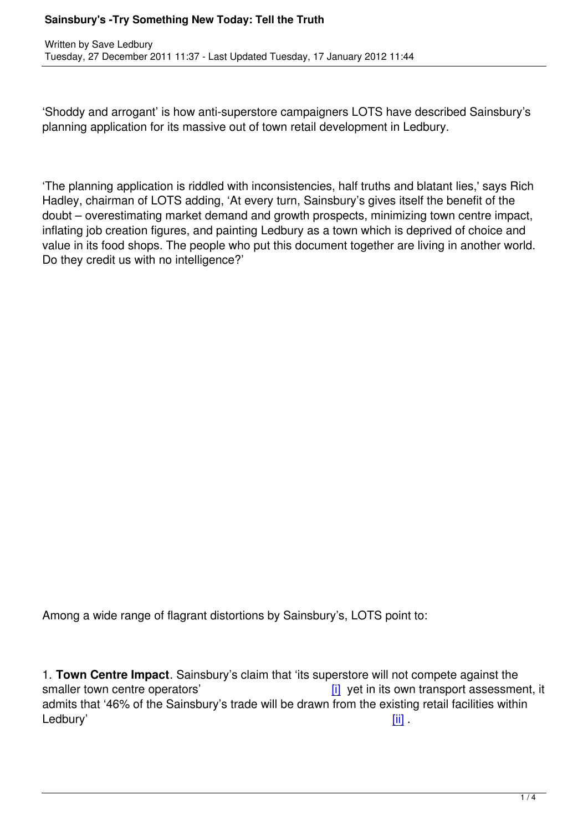Written by Save Ledbury and Save Ledbury and Save Ledbury and Save Ledbury and Save Ledbury and Save Ledbury a

'Shoddy and arrogant' is how anti-superstore campaigners LOTS have described Sainsbury's planning application for its massive out of town retail development in Ledbury.

'The planning application is riddled with inconsistencies, half truths and blatant lies,' says Rich Hadley, chairman of LOTS adding, 'At every turn, Sainsbury's gives itself the benefit of the doubt – overestimating market demand and growth prospects, minimizing town centre impact, inflating job creation figures, and painting Ledbury as a town which is deprived of choice and value in its food shops. The people who put this document together are living in another world. Do they credit us with no intelligence?'

Among a wide range of flagrant distortions by Sainsbury's, LOTS point to:

1. **Town Centre Impact**. Sainsbury's claim that 'its superstore will not compete against the smaller town centre operators' example and in the smaller town centre operators' smaller town centre operators admits that '46% of the Sainsbury's trade will be drawn from the existing retail facilities within Ledbury' in the set of the set of the set of the set of the set of the set of the set of the set of the set of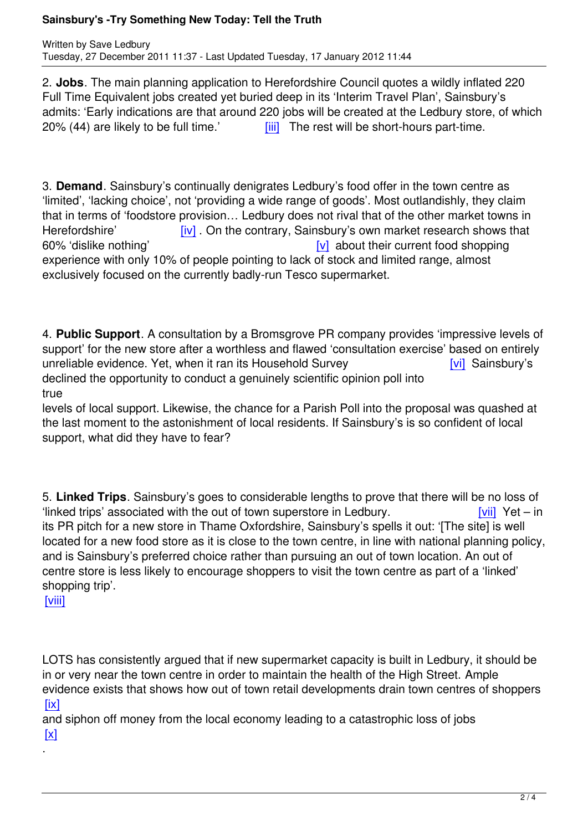2. **Jobs**. The main planning application to Herefordshire Council quotes a wildly inflated 220 Full Time Equivalent jobs created yet buried deep in its 'Interim Travel Plan', Sainsbury's admits: 'Early indications are that around 220 jobs will be created at the Ledbury store, of which  $20\%$  (44) are likely to be full time.'  $\frac{1}{10}$  The rest will be short-hours part-time.

3. **Demand**. Sainsbury's continually denig[rate](#_edn3)s Ledbury's food offer in the town centre as 'limited', 'lacking choice', not 'providing a wide range of goods'. Most outlandishly, they claim that in terms of 'foodstore provision… Ledbury does not rival that of the other market towns in Herefordshire' [iv] On the contrary, Sainsbury's own market research shows that 60% 'dislike nothing' about their current food shopping experience with only 10% of people pointing to lack of stock and limited range, almost exclusively focused on the [cu](#_edn4)rrently badly-run Tesco supermarket.

4. **Public Support**. A consultation by a Bromsgrove PR company provides 'impressive levels of support' for the new store after a worthless and flawed 'consultation exercise' based on entirely unreliable evidence. Yet, when it ran its Household Survey [vi] Sainsbury's declined the opportunity to conduct a genuinely scientific opinion poll into true

levels of local support. Likewise, the chance for a Parish Poll into the proposa[l wa](#_edn6)s quashed at the last moment to the astonishment of local residents. If Sainsbury's is so confident of local support, what did they have to fear?

5. **Linked Trips**. Sainsbury's goes to considerable lengths to prove that there will be no loss of 'linked trips' associated with the out of town superstore in Ledbury. [vii] Yet – in its PR pitch for a new store in Thame Oxfordshire, Sainsbury's spells it out: '[The site] is well located for a new food store as it is close to the town centre, in line with national planning policy, and is Sainsbury's preferred choice rather than pursuing an out of town location. A[n out](#_edn7) of centre store is less likely to encourage shoppers to visit the town centre as part of a 'linked' shopping trip'.

[viii]

[.](#_edn9)

[LOT](#_edn8)S has consistently argued that if new supermarket capacity is built in Ledbury, it should be in or very near the town centre in order to maintain the health of the High Street. Ample evidence exists that shows how out of town retail developments drain town centres of shoppers  $[ix]$ 

and siphon off money from the local economy leading to a catastrophic loss of jobs  $\boxed{\text{X}}$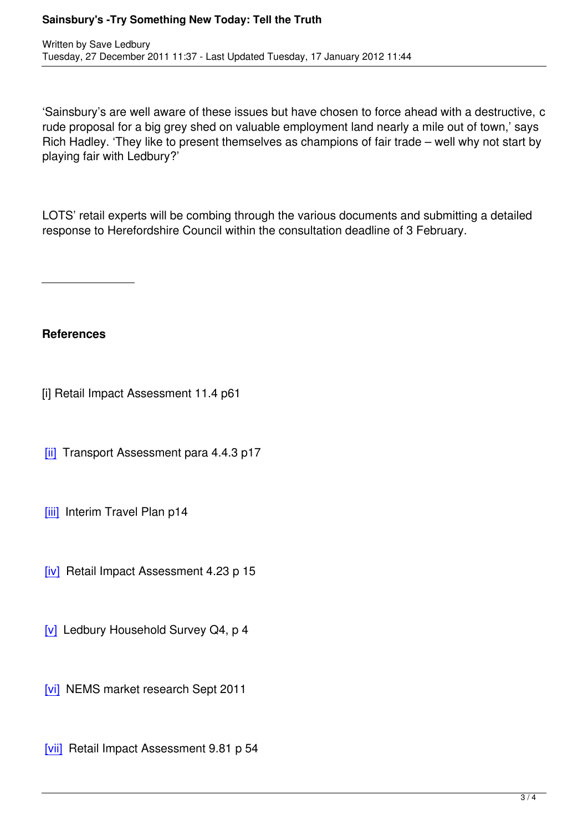'Sainsbury's are well aware of these issues but have chosen to force ahead with a destructive, c rude proposal for a big grey shed on valuable employment land nearly a mile out of town,' says Rich Hadley. 'They like to present themselves as champions of fair trade – well why not start by playing fair with Ledbury?'

LOTS' retail experts will be combing through the various documents and submitting a detailed response to Herefordshire Council within the consultation deadline of 3 February.

**References**

[i] Retail Impact Assessment 11.4 p61

[ii] Transport Assessment para 4.4.3 p17

[\[iii\]](#_ednref) Interim Travel Plan p14

[\[iv\]](#_ednref) Retail Impact Assessment 4.23 p 15

[\[v\]](#_ednref) Ledbury Household Survey Q4, p 4

[\[vi\]](#_ednref) NEMS market research Sept 2011

[\[vii\]](#_ednref) Retail Impact Assessment 9.81 p 54